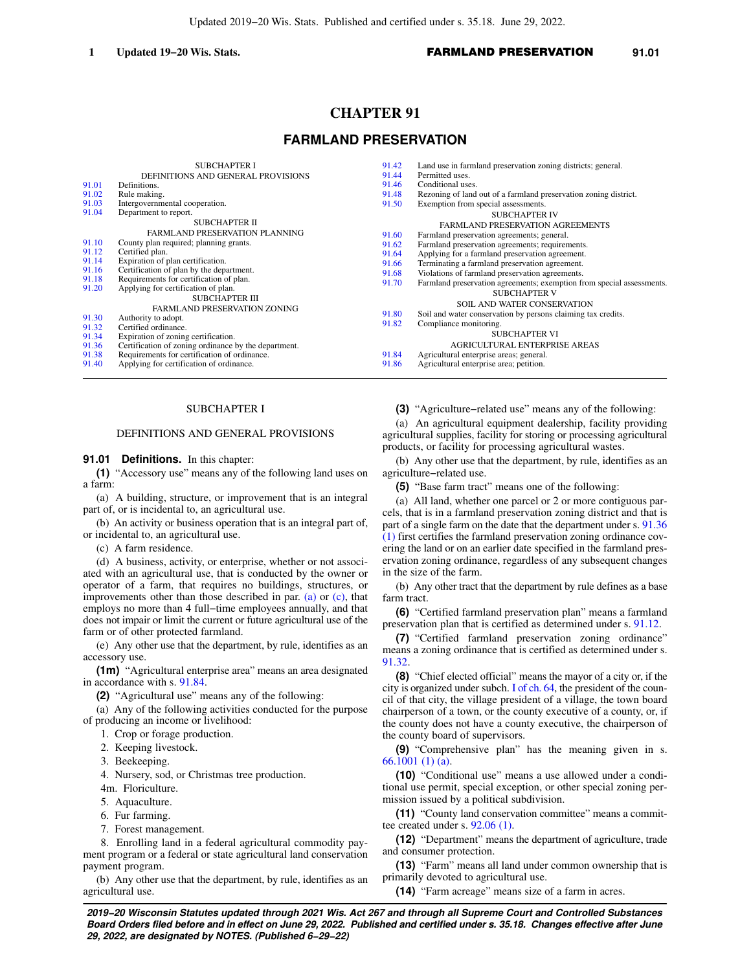# **CHAPTER 91**

# **FARMLAND PRESERVATION**

|       | <b>SUBCHAPTER I</b>                                  | 91.42 | Land use in farmland preservation zoning districts; general.          |
|-------|------------------------------------------------------|-------|-----------------------------------------------------------------------|
|       | DEFINITIONS AND GENERAL PROVISIONS                   | 91.44 | Permitted uses.                                                       |
| 91.01 | Definitions.                                         | 91.46 | Conditional uses.                                                     |
| 91.02 | Rule making.                                         | 91.48 | Rezoning of land out of a farmland preservation zoning district.      |
| 91.03 | Intergovernmental cooperation.                       | 91.50 | Exemption from special assessments.                                   |
| 91.04 | Department to report.                                |       | <b>SUBCHAPTER IV</b>                                                  |
|       | SUBCHAPTER II                                        |       | <b>FARMLAND PRESERVATION AGREEMENTS</b>                               |
|       | FARMLAND PRESERVATION PLANNING                       | 91.60 | Farmland preservation agreements; general.                            |
| 91.10 | County plan required; planning grants.               | 91.62 | Farmland preservation agreements; requirements.                       |
| 91.12 | Certified plan.                                      | 91.64 | Applying for a farmland preservation agreement.                       |
| 91.14 | Expiration of plan certification.                    | 91.66 | Terminating a farmland preservation agreement.                        |
| 91.16 | Certification of plan by the department.             | 91.68 | Violations of farmland preservation agreements.                       |
| 91.18 | Requirements for certification of plan.              | 91.70 | Farmland preservation agreements; exemption from special assessments. |
| 91.20 | Applying for certification of plan.                  |       | <b>SUBCHAPTER V</b>                                                   |
|       | <b>SUBCHAPTER III</b>                                |       | <b>SOIL AND WATER CONSERVATION</b>                                    |
| 91.30 | FARMLAND PRESERVATION ZONING                         | 91.80 | Soil and water conservation by persons claiming tax credits.          |
| 91.32 | Authority to adopt.<br>Certified ordinance.          | 91.82 | Compliance monitoring.                                                |
| 91.34 | Expiration of zoning certification.                  |       | <b>SUBCHAPTER VI</b>                                                  |
| 91.36 | Certification of zoning ordinance by the department. |       | <b>AGRICULTURAL ENTERPRISE AREAS</b>                                  |
| 91.38 | Requirements for certification of ordinance.         | 91.84 | Agricultural enterprise areas; general.                               |
| 91.40 | Applying for certification of ordinance.             | 91.86 | Agricultural enterprise area; petition.                               |
|       |                                                      |       |                                                                       |

## SUBCHAPTER I

#### DEFINITIONS AND GENERAL PROVISIONS

### **91.01 Definitions.** In this chapter:

**(1)** "Accessory use" means any of the following land uses on a farm:

(a) A building, structure, or improvement that is an integral part of, or is incidental to, an agricultural use.

(b) An activity or business operation that is an integral part of, or incidental to, an agricultural use.

(c) A farm residence.

(d) A business, activity, or enterprise, whether or not associated with an agricultural use, that is conducted by the owner or operator of a farm, that requires no buildings, structures, or improvements other than those described in par. [\(a\)](https://docs.legis.wisconsin.gov/document/statutes/91.01(1)(a)) or [\(c\)](https://docs.legis.wisconsin.gov/document/statutes/91.01(1)(c)), that employs no more than 4 full−time employees annually, and that does not impair or limit the current or future agricultural use of the farm or of other protected farmland.

(e) Any other use that the department, by rule, identifies as an accessory use.

**(1m)** "Agricultural enterprise area" means an area designated in accordance with s. [91.84.](https://docs.legis.wisconsin.gov/document/statutes/91.84)

**(2)** "Agricultural use" means any of the following:

(a) Any of the following activities conducted for the purpose of producing an income or livelihood:

1. Crop or forage production.

- 2. Keeping livestock.
- 3. Beekeeping.
- 4. Nursery, sod, or Christmas tree production.
- 4m. Floriculture.
- 5. Aquaculture.
- 6. Fur farming.
- 7. Forest management.

8. Enrolling land in a federal agricultural commodity payment program or a federal or state agricultural land conservation payment program.

(b) Any other use that the department, by rule, identifies as an agricultural use.

**(3)** "Agriculture−related use" means any of the following:

(a) An agricultural equipment dealership, facility providing agricultural supplies, facility for storing or processing agricultural products, or facility for processing agricultural wastes.

(b) Any other use that the department, by rule, identifies as an agriculture−related use.

**(5)** "Base farm tract" means one of the following:

(a) All land, whether one parcel or 2 or more contiguous parcels, that is in a farmland preservation zoning district and that is part of a single farm on the date that the department under s. [91.36](https://docs.legis.wisconsin.gov/document/statutes/91.36(1)) [\(1\)](https://docs.legis.wisconsin.gov/document/statutes/91.36(1)) first certifies the farmland preservation zoning ordinance covering the land or on an earlier date specified in the farmland preservation zoning ordinance, regardless of any subsequent changes in the size of the farm.

(b) Any other tract that the department by rule defines as a base farm tract.

**(6)** "Certified farmland preservation plan" means a farmland preservation plan that is certified as determined under s. [91.12](https://docs.legis.wisconsin.gov/document/statutes/91.12).

**(7)** "Certified farmland preservation zoning ordinance" means a zoning ordinance that is certified as determined under s. [91.32](https://docs.legis.wisconsin.gov/document/statutes/91.32).

**(8)** "Chief elected official" means the mayor of a city or, if the city is organized under subch. [I of ch. 64](https://docs.legis.wisconsin.gov/document/statutes/subch.%20I%20of%20ch.%2064), the president of the council of that city, the village president of a village, the town board chairperson of a town, or the county executive of a county, or, if the county does not have a county executive, the chairperson of the county board of supervisors.

**(9)** "Comprehensive plan" has the meaning given in s. [66.1001 \(1\) \(a\).](https://docs.legis.wisconsin.gov/document/statutes/66.1001(1)(a))

**(10)** "Conditional use" means a use allowed under a conditional use permit, special exception, or other special zoning permission issued by a political subdivision.

**(11)** "County land conservation committee" means a committee created under s. [92.06 \(1\)](https://docs.legis.wisconsin.gov/document/statutes/92.06(1)).

**(12)** "Department" means the department of agriculture, trade and consumer protection.

**(13)** "Farm" means all land under common ownership that is primarily devoted to agricultural use.

**(14)** "Farm acreage" means size of a farm in acres.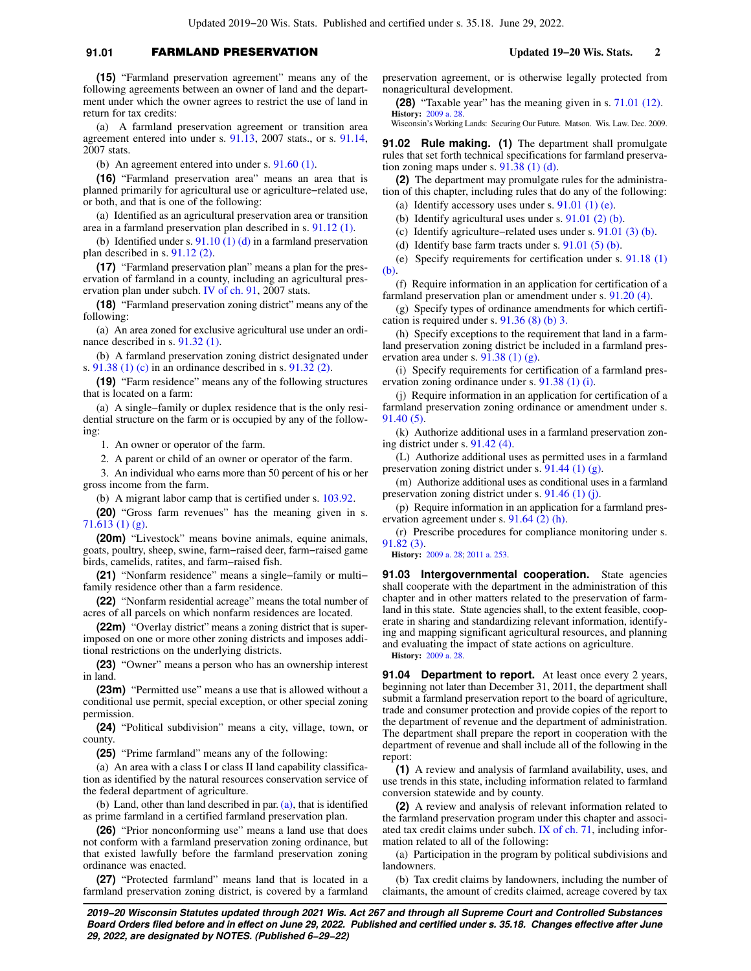## **91.01** FARMLAND PRESERVATION **Updated 19−20 Wis. Stats. 2**

**(15)** "Farmland preservation agreement" means any of the following agreements between an owner of land and the department under which the owner agrees to restrict the use of land in return for tax credits:

(a) A farmland preservation agreement or transition area agreement entered into under s. [91.13](https://docs.legis.wisconsin.gov/document/statutes/2007/91.13), 2007 stats., or s. [91.14,](https://docs.legis.wisconsin.gov/document/statutes/2007/91.14) 2007 stats.

(b) An agreement entered into under s. [91.60 \(1\)](https://docs.legis.wisconsin.gov/document/statutes/91.60(1)).

**(16)** "Farmland preservation area" means an area that is planned primarily for agricultural use or agriculture−related use, or both, and that is one of the following:

(a) Identified as an agricultural preservation area or transition area in a farmland preservation plan described in s. [91.12 \(1\)](https://docs.legis.wisconsin.gov/document/statutes/91.12(1)).

(b) Identified under s.  $91.10(1)(d)$  in a farmland preservation plan described in s. [91.12 \(2\)](https://docs.legis.wisconsin.gov/document/statutes/91.12(2)).

**(17)** "Farmland preservation plan" means a plan for the preservation of farmland in a county, including an agricultural preservation plan under subch. [IV of ch. 91,](https://docs.legis.wisconsin.gov/document/statutes/2007/subch.%20IV%20of%20ch.%2091) 2007 stats.

**(18)** "Farmland preservation zoning district" means any of the following:

(a) An area zoned for exclusive agricultural use under an ordinance described in s. [91.32 \(1\).](https://docs.legis.wisconsin.gov/document/statutes/91.32(1))

(b) A farmland preservation zoning district designated under s. [91.38 \(1\) \(c\)](https://docs.legis.wisconsin.gov/document/statutes/91.38(1)(c)) in an ordinance described in s. [91.32 \(2\)](https://docs.legis.wisconsin.gov/document/statutes/91.32(2)).

**(19)** "Farm residence" means any of the following structures that is located on a farm:

(a) A single−family or duplex residence that is the only residential structure on the farm or is occupied by any of the following:

1. An owner or operator of the farm.

2. A parent or child of an owner or operator of the farm.

3. An individual who earns more than 50 percent of his or her gross income from the farm.

(b) A migrant labor camp that is certified under s. [103.92.](https://docs.legis.wisconsin.gov/document/statutes/103.92)

**(20)** "Gross farm revenues" has the meaning given in s. [71.613 \(1\) \(g\)](https://docs.legis.wisconsin.gov/document/statutes/71.613(1)(g)).

**(20m)** "Livestock" means bovine animals, equine animals, goats, poultry, sheep, swine, farm−raised deer, farm−raised game birds, camelids, ratites, and farm−raised fish.

**(21)** "Nonfarm residence" means a single−family or multi− family residence other than a farm residence.

**(22)** "Nonfarm residential acreage" means the total number of acres of all parcels on which nonfarm residences are located.

**(22m)** "Overlay district" means a zoning district that is superimposed on one or more other zoning districts and imposes additional restrictions on the underlying districts.

**(23)** "Owner" means a person who has an ownership interest in land.

**(23m)** "Permitted use" means a use that is allowed without a conditional use permit, special exception, or other special zoning permission.

**(24)** "Political subdivision" means a city, village, town, or county.

**(25)** "Prime farmland" means any of the following:

(a) An area with a class I or class II land capability classification as identified by the natural resources conservation service of the federal department of agriculture.

(b) Land, other than land described in par. [\(a\),](https://docs.legis.wisconsin.gov/document/statutes/91.01(25)(a)) that is identified as prime farmland in a certified farmland preservation plan.

**(26)** "Prior nonconforming use" means a land use that does not conform with a farmland preservation zoning ordinance, but that existed lawfully before the farmland preservation zoning ordinance was enacted.

**(27)** "Protected farmland" means land that is located in a farmland preservation zoning district, is covered by a farmland preservation agreement, or is otherwise legally protected from nonagricultural development.

**(28)** "Taxable year" has the meaning given in s. [71.01 \(12\).](https://docs.legis.wisconsin.gov/document/statutes/71.01(12)) **History:** [2009 a. 28](https://docs.legis.wisconsin.gov/document/acts/2009/28).

Wisconsin's Working Lands: Securing Our Future. Matson. Wis. Law. Dec. 2009.

**91.02 Rule making.** (1) The department shall promulgate rules that set forth technical specifications for farmland preservation zoning maps under s. [91.38 \(1\) \(d\).](https://docs.legis.wisconsin.gov/document/statutes/91.38(1)(d))

**(2)** The department may promulgate rules for the administration of this chapter, including rules that do any of the following:

(a) Identify accessory uses under s.  $91.01$  (1) (e).

(b) Identify agricultural uses under s.  $91.01$  (2) (b).

(c) Identify agriculture−related uses under s. [91.01 \(3\) \(b\).](https://docs.legis.wisconsin.gov/document/statutes/91.01(3)(b))

(d) Identify base farm tracts under s.  $91.01$  (5) (b).

(e) Specify requirements for certification under s. [91.18 \(1\)](https://docs.legis.wisconsin.gov/document/statutes/91.18(1)(b)) [\(b\).](https://docs.legis.wisconsin.gov/document/statutes/91.18(1)(b))

(f) Require information in an application for certification of a farmland preservation plan or amendment under s. [91.20 \(4\)](https://docs.legis.wisconsin.gov/document/statutes/91.20(4)).

(g) Specify types of ordinance amendments for which certification is required under s. [91.36 \(8\) \(b\) 3.](https://docs.legis.wisconsin.gov/document/statutes/91.36(8)(b)3.)

(h) Specify exceptions to the requirement that land in a farmland preservation zoning district be included in a farmland preservation area under s. [91.38 \(1\) \(g\)](https://docs.legis.wisconsin.gov/document/statutes/91.38(1)(g)).

(i) Specify requirements for certification of a farmland preservation zoning ordinance under s. [91.38 \(1\) \(i\).](https://docs.legis.wisconsin.gov/document/statutes/91.38(1)(i))

(j) Require information in an application for certification of a farmland preservation zoning ordinance or amendment under s. [91.40 \(5\)](https://docs.legis.wisconsin.gov/document/statutes/91.40(5)).

(k) Authorize additional uses in a farmland preservation zoning district under s. [91.42 \(4\)](https://docs.legis.wisconsin.gov/document/statutes/91.42(4)).

(L) Authorize additional uses as permitted uses in a farmland preservation zoning district under s. [91.44 \(1\) \(g\)](https://docs.legis.wisconsin.gov/document/statutes/91.44(1)(g)).

(m) Authorize additional uses as conditional uses in a farmland preservation zoning district under s. [91.46 \(1\) \(j\)](https://docs.legis.wisconsin.gov/document/statutes/91.46(1)(j)).

(p) Require information in an application for a farmland preservation agreement under s. [91.64 \(2\) \(h\).](https://docs.legis.wisconsin.gov/document/statutes/91.64(2)(h))

(r) Prescribe procedures for compliance monitoring under s. [91.82 \(3\)](https://docs.legis.wisconsin.gov/document/statutes/91.82(3)).

**History:** [2009 a. 28](https://docs.legis.wisconsin.gov/document/acts/2009/28); [2011 a. 253](https://docs.legis.wisconsin.gov/document/acts/2011/253).

**91.03 Intergovernmental cooperation.** State agencies shall cooperate with the department in the administration of this chapter and in other matters related to the preservation of farmland in this state. State agencies shall, to the extent feasible, cooperate in sharing and standardizing relevant information, identifying and mapping significant agricultural resources, and planning and evaluating the impact of state actions on agriculture.

**History:** [2009 a. 28](https://docs.legis.wisconsin.gov/document/acts/2009/28).

**91.04 Department to report.** At least once every 2 years, beginning not later than December 31, 2011, the department shall submit a farmland preservation report to the board of agriculture, trade and consumer protection and provide copies of the report to the department of revenue and the department of administration. The department shall prepare the report in cooperation with the department of revenue and shall include all of the following in the report:

**(1)** A review and analysis of farmland availability, uses, and use trends in this state, including information related to farmland conversion statewide and by county.

**(2)** A review and analysis of relevant information related to the farmland preservation program under this chapter and associated tax credit claims under subch. [IX of ch. 71,](https://docs.legis.wisconsin.gov/document/statutes/subch.%20IX%20of%20ch.%2071) including information related to all of the following:

(a) Participation in the program by political subdivisions and landowners.

(b) Tax credit claims by landowners, including the number of claimants, the amount of credits claimed, acreage covered by tax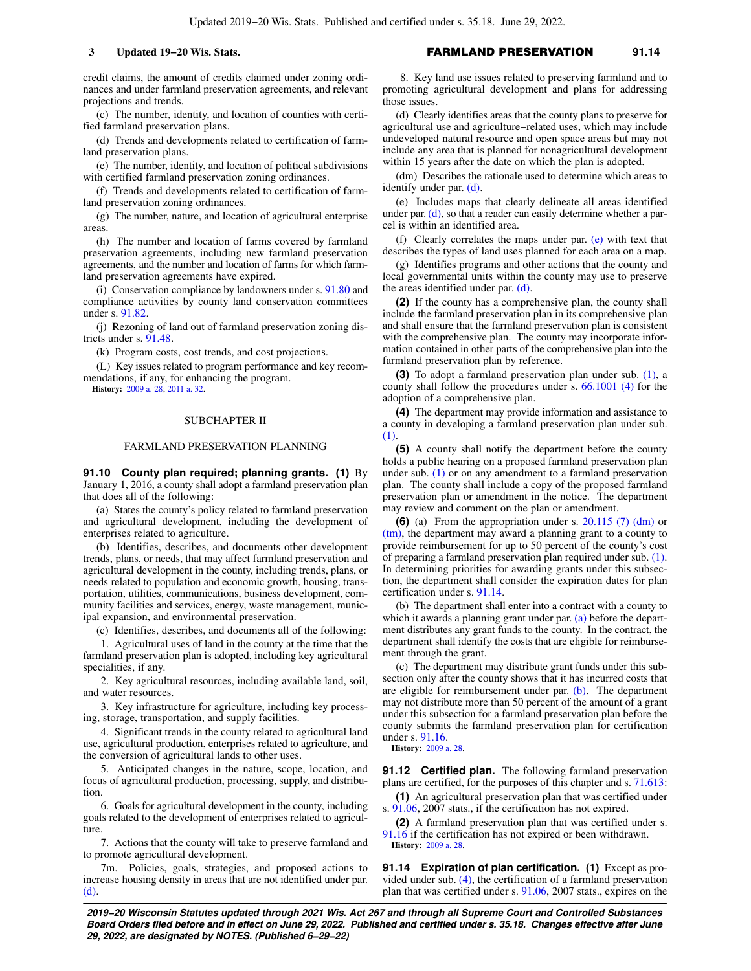credit claims, the amount of credits claimed under zoning ordinances and under farmland preservation agreements, and relevant projections and trends.

(c) The number, identity, and location of counties with certified farmland preservation plans.

(d) Trends and developments related to certification of farmland preservation plans.

(e) The number, identity, and location of political subdivisions with certified farmland preservation zoning ordinances.

(f) Trends and developments related to certification of farmland preservation zoning ordinances.

(g) The number, nature, and location of agricultural enterprise areas.

(h) The number and location of farms covered by farmland preservation agreements, including new farmland preservation agreements, and the number and location of farms for which farmland preservation agreements have expired.

(i) Conservation compliance by landowners under s. [91.80](https://docs.legis.wisconsin.gov/document/statutes/91.80) and compliance activities by county land conservation committees under s. [91.82](https://docs.legis.wisconsin.gov/document/statutes/91.82).

(j) Rezoning of land out of farmland preservation zoning districts under s. [91.48](https://docs.legis.wisconsin.gov/document/statutes/91.48).

(k) Program costs, cost trends, and cost projections.

(L) Key issues related to program performance and key recommendations, if any, for enhancing the program.

**History:** [2009 a. 28;](https://docs.legis.wisconsin.gov/document/acts/2009/28) [2011 a. 32.](https://docs.legis.wisconsin.gov/document/acts/2011/32)

### SUBCHAPTER II

#### FARMLAND PRESERVATION PLANNING

**91.10 County plan required; planning grants. (1)** By January 1, 2016, a county shall adopt a farmland preservation plan that does all of the following:

(a) States the county's policy related to farmland preservation and agricultural development, including the development of enterprises related to agriculture.

(b) Identifies, describes, and documents other development trends, plans, or needs, that may affect farmland preservation and agricultural development in the county, including trends, plans, or needs related to population and economic growth, housing, transportation, utilities, communications, business development, community facilities and services, energy, waste management, municipal expansion, and environmental preservation.

(c) Identifies, describes, and documents all of the following:

1. Agricultural uses of land in the county at the time that the farmland preservation plan is adopted, including key agricultural specialities, if any.

2. Key agricultural resources, including available land, soil, and water resources.

3. Key infrastructure for agriculture, including key processing, storage, transportation, and supply facilities.

4. Significant trends in the county related to agricultural land use, agricultural production, enterprises related to agriculture, and the conversion of agricultural lands to other uses.

5. Anticipated changes in the nature, scope, location, and focus of agricultural production, processing, supply, and distribution.

6. Goals for agricultural development in the county, including goals related to the development of enterprises related to agriculture.

7. Actions that the county will take to preserve farmland and to promote agricultural development.

7m. Policies, goals, strategies, and proposed actions to increase housing density in areas that are not identified under par. [\(d\)](https://docs.legis.wisconsin.gov/document/statutes/91.10(1)(d)).

8. Key land use issues related to preserving farmland and to promoting agricultural development and plans for addressing those issues.

(d) Clearly identifies areas that the county plans to preserve for agricultural use and agriculture−related uses, which may include undeveloped natural resource and open space areas but may not include any area that is planned for nonagricultural development within 15 years after the date on which the plan is adopted.

(dm) Describes the rationale used to determine which areas to identify under par. [\(d\)](https://docs.legis.wisconsin.gov/document/statutes/91.10(1)(d)).

(e) Includes maps that clearly delineate all areas identified under par. [\(d\),](https://docs.legis.wisconsin.gov/document/statutes/91.10(1)(d)) so that a reader can easily determine whether a parcel is within an identified area.

(f) Clearly correlates the maps under par.  $(e)$  with text that describes the types of land uses planned for each area on a map.

(g) Identifies programs and other actions that the county and local governmental units within the county may use to preserve the areas identified under par. [\(d\)](https://docs.legis.wisconsin.gov/document/statutes/91.10(1)(d)).

**(2)** If the county has a comprehensive plan, the county shall include the farmland preservation plan in its comprehensive plan and shall ensure that the farmland preservation plan is consistent with the comprehensive plan. The county may incorporate information contained in other parts of the comprehensive plan into the farmland preservation plan by reference.

**(3)** To adopt a farmland preservation plan under sub. [\(1\),](https://docs.legis.wisconsin.gov/document/statutes/91.10(1)) a county shall follow the procedures under s. [66.1001 \(4\)](https://docs.legis.wisconsin.gov/document/statutes/66.1001(4)) for the adoption of a comprehensive plan.

**(4)** The department may provide information and assistance to a county in developing a farmland preservation plan under sub. [\(1\).](https://docs.legis.wisconsin.gov/document/statutes/91.10(1))

**(5)** A county shall notify the department before the county holds a public hearing on a proposed farmland preservation plan under sub. [\(1\)](https://docs.legis.wisconsin.gov/document/statutes/91.10(1)) or on any amendment to a farmland preservation plan. The county shall include a copy of the proposed farmland preservation plan or amendment in the notice. The department may review and comment on the plan or amendment.

**(6)** (a) From the appropriation under s. [20.115 \(7\) \(dm\)](https://docs.legis.wisconsin.gov/document/statutes/20.115(7)(dm)) or [\(tm\),](https://docs.legis.wisconsin.gov/document/statutes/20.115(7)(tm)) the department may award a planning grant to a county to provide reimbursement for up to 50 percent of the county's cost of preparing a farmland preservation plan required under sub. [\(1\).](https://docs.legis.wisconsin.gov/document/statutes/91.10(1)) In determining priorities for awarding grants under this subsection, the department shall consider the expiration dates for plan certification under s. [91.14](https://docs.legis.wisconsin.gov/document/statutes/91.14).

(b) The department shall enter into a contract with a county to which it awards a planning grant under par. [\(a\)](https://docs.legis.wisconsin.gov/document/statutes/91.10(6)(a)) before the department distributes any grant funds to the county. In the contract, the department shall identify the costs that are eligible for reimbursement through the grant.

(c) The department may distribute grant funds under this subsection only after the county shows that it has incurred costs that are eligible for reimbursement under par. [\(b\).](https://docs.legis.wisconsin.gov/document/statutes/91.10(6)(b)) The department may not distribute more than 50 percent of the amount of a grant under this subsection for a farmland preservation plan before the county submits the farmland preservation plan for certification under s. [91.16](https://docs.legis.wisconsin.gov/document/statutes/91.16).

**History:** [2009 a. 28](https://docs.legis.wisconsin.gov/document/acts/2009/28).

**91.12 Certified plan.** The following farmland preservation plans are certified, for the purposes of this chapter and s. [71.613:](https://docs.legis.wisconsin.gov/document/statutes/71.613)

**(1)** An agricultural preservation plan that was certified under s. [91.06](https://docs.legis.wisconsin.gov/document/statutes/2007/91.06), 2007 stats., if the certification has not expired.

**(2)** A farmland preservation plan that was certified under s. [91.16](https://docs.legis.wisconsin.gov/document/statutes/91.16) if the certification has not expired or been withdrawn. **History:** [2009 a. 28](https://docs.legis.wisconsin.gov/document/acts/2009/28).

**91.14 Expiration of plan certification. (1)** Except as provided under sub. [\(4\),](https://docs.legis.wisconsin.gov/document/statutes/91.14(4)) the certification of a farmland preservation plan that was certified under s. [91.06,](https://docs.legis.wisconsin.gov/document/statutes/2007/91.06) 2007 stats., expires on the

**2019−20 Wisconsin Statutes updated through 2021 Wis. Act 267 and through all Supreme Court and Controlled Substances Board Orders filed before and in effect on June 29, 2022. Published and certified under s. 35.18. Changes effective after June 29, 2022, are designated by NOTES. (Published 6−29−22)**

# **3 Updated 19−20 Wis. Stats.** FARMLAND PRESERVATION **91.14**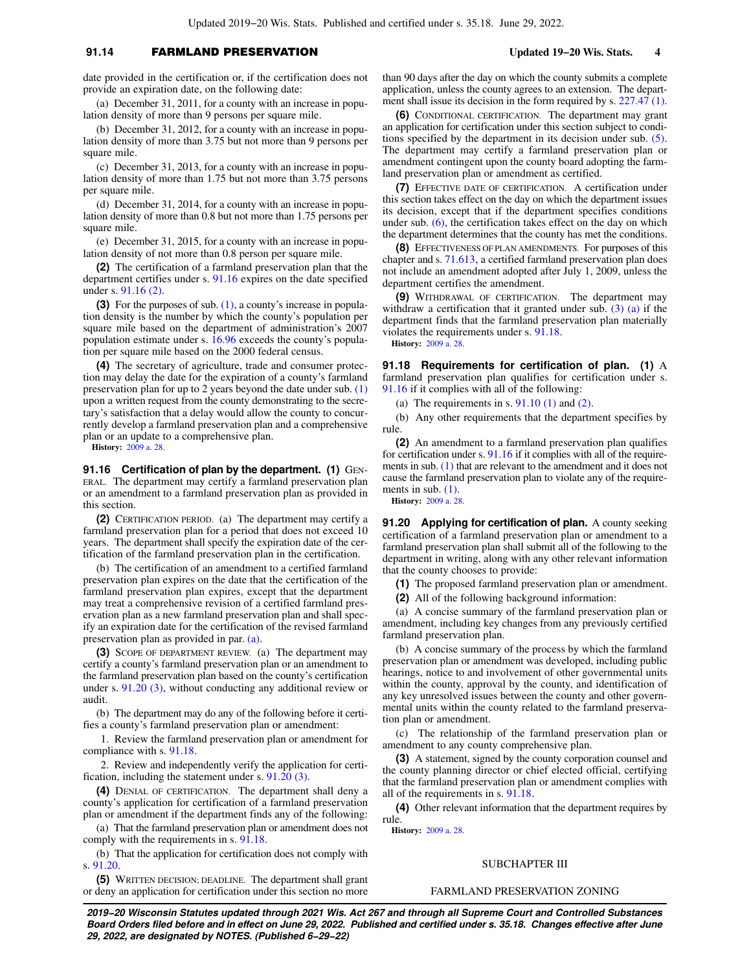## **91.14** FARMLAND PRESERVATION **Updated 19−20 Wis. Stats. 4**

date provided in the certification or, if the certification does not provide an expiration date, on the following date:

(a) December 31, 2011, for a county with an increase in population density of more than 9 persons per square mile.

(b) December 31, 2012, for a county with an increase in population density of more than 3.75 but not more than 9 persons per square mile.

(c) December 31, 2013, for a county with an increase in population density of more than 1.75 but not more than 3.75 persons per square mile.

(d) December 31, 2014, for a county with an increase in population density of more than 0.8 but not more than 1.75 persons per square mile.

(e) December 31, 2015, for a county with an increase in population density of not more than 0.8 person per square mile.

**(2)** The certification of a farmland preservation plan that the department certifies under s. [91.16](https://docs.legis.wisconsin.gov/document/statutes/91.16) expires on the date specified under s. [91.16 \(2\).](https://docs.legis.wisconsin.gov/document/statutes/91.16(2))

**(3)** For the purposes of sub. [\(1\),](https://docs.legis.wisconsin.gov/document/statutes/91.14(1)) a county's increase in population density is the number by which the county's population per square mile based on the department of administration's 2007 population estimate under s. [16.96](https://docs.legis.wisconsin.gov/document/statutes/16.96) exceeds the county's population per square mile based on the 2000 federal census.

**(4)** The secretary of agriculture, trade and consumer protection may delay the date for the expiration of a county's farmland preservation plan for up to 2 years beyond the date under sub. [\(1\)](https://docs.legis.wisconsin.gov/document/statutes/91.14(1)) upon a written request from the county demonstrating to the secretary's satisfaction that a delay would allow the county to concurrently develop a farmland preservation plan and a comprehensive plan or an update to a comprehensive plan.

**History:** [2009 a. 28.](https://docs.legis.wisconsin.gov/document/acts/2009/28)

**91.16 Certification of plan by the department. (1)** GEN-ERAL. The department may certify a farmland preservation plan or an amendment to a farmland preservation plan as provided in this section.

**(2)** CERTIFICATION PERIOD. (a) The department may certify a farmland preservation plan for a period that does not exceed 10 years. The department shall specify the expiration date of the certification of the farmland preservation plan in the certification.

(b) The certification of an amendment to a certified farmland preservation plan expires on the date that the certification of the farmland preservation plan expires, except that the department may treat a comprehensive revision of a certified farmland preservation plan as a new farmland preservation plan and shall specify an expiration date for the certification of the revised farmland preservation plan as provided in par. [\(a\).](https://docs.legis.wisconsin.gov/document/statutes/91.16(2)(a))

**(3)** SCOPE OF DEPARTMENT REVIEW. (a) The department may certify a county's farmland preservation plan or an amendment to the farmland preservation plan based on the county's certification under s. [91.20 \(3\),](https://docs.legis.wisconsin.gov/document/statutes/91.20(3)) without conducting any additional review or audit.

(b) The department may do any of the following before it certifies a county's farmland preservation plan or amendment:

1. Review the farmland preservation plan or amendment for compliance with s. [91.18.](https://docs.legis.wisconsin.gov/document/statutes/91.18)

2. Review and independently verify the application for certification, including the statement under s. [91.20 \(3\).](https://docs.legis.wisconsin.gov/document/statutes/91.20(3))

**(4)** DENIAL OF CERTIFICATION. The department shall deny a county's application for certification of a farmland preservation plan or amendment if the department finds any of the following:

(a) That the farmland preservation plan or amendment does not comply with the requirements in s. [91.18](https://docs.legis.wisconsin.gov/document/statutes/91.18).

(b) That the application for certification does not comply with s. [91.20](https://docs.legis.wisconsin.gov/document/statutes/91.20).

**(5)** WRITTEN DECISION; DEADLINE. The department shall grant or deny an application for certification under this section no more than 90 days after the day on which the county submits a complete application, unless the county agrees to an extension. The department shall issue its decision in the form required by s. [227.47 \(1\).](https://docs.legis.wisconsin.gov/document/statutes/227.47(1))

**(6)** CONDITIONAL CERTIFICATION. The department may grant an application for certification under this section subject to conditions specified by the department in its decision under sub. [\(5\).](https://docs.legis.wisconsin.gov/document/statutes/91.16(5)) The department may certify a farmland preservation plan or amendment contingent upon the county board adopting the farmland preservation plan or amendment as certified.

**(7)** EFFECTIVE DATE OF CERTIFICATION. A certification under this section takes effect on the day on which the department issues its decision, except that if the department specifies conditions under sub.  $(6)$ , the certification takes effect on the day on which the department determines that the county has met the conditions.

**(8)** EFFECTIVENESS OF PLAN AMENDMENTS. For purposes of this chapter and s. [71.613,](https://docs.legis.wisconsin.gov/document/statutes/71.613) a certified farmland preservation plan does not include an amendment adopted after July 1, 2009, unless the department certifies the amendment.

**(9)** WITHDRAWAL OF CERTIFICATION. The department may withdraw a certification that it granted under sub. [\(3\) \(a\)](https://docs.legis.wisconsin.gov/document/statutes/91.16(3)(a)) if the department finds that the farmland preservation plan materially violates the requirements under s. [91.18.](https://docs.legis.wisconsin.gov/document/statutes/91.18) **History:** [2009 a. 28](https://docs.legis.wisconsin.gov/document/acts/2009/28).

**91.18 Requirements for certification of plan. (1)** A farmland preservation plan qualifies for certification under s. [91.16](https://docs.legis.wisconsin.gov/document/statutes/91.16) if it complies with all of the following:

(a) The requirements in s.  $91.10(1)$  and  $(2)$ .

(b) Any other requirements that the department specifies by rule.

**(2)** An amendment to a farmland preservation plan qualifies for certification under s. [91.16](https://docs.legis.wisconsin.gov/document/statutes/91.16) if it complies with all of the require-ments in sub. [\(1\)](https://docs.legis.wisconsin.gov/document/statutes/91.18(1)) that are relevant to the amendment and it does not cause the farmland preservation plan to violate any of the requirements in sub.  $(1)$ . **History:** [2009 a. 28](https://docs.legis.wisconsin.gov/document/acts/2009/28).

**91.20 Applying for certification of plan.** A county seeking certification of a farmland preservation plan or amendment to a farmland preservation plan shall submit all of the following to the department in writing, along with any other relevant information that the county chooses to provide:

**(1)** The proposed farmland preservation plan or amendment.

**(2)** All of the following background information:

(a) A concise summary of the farmland preservation plan or amendment, including key changes from any previously certified farmland preservation plan.

(b) A concise summary of the process by which the farmland preservation plan or amendment was developed, including public hearings, notice to and involvement of other governmental units within the county, approval by the county, and identification of any key unresolved issues between the county and other governmental units within the county related to the farmland preservation plan or amendment.

(c) The relationship of the farmland preservation plan or amendment to any county comprehensive plan.

**(3)** A statement, signed by the county corporation counsel and the county planning director or chief elected official, certifying that the farmland preservation plan or amendment complies with all of the requirements in s. [91.18.](https://docs.legis.wisconsin.gov/document/statutes/91.18)

**(4)** Other relevant information that the department requires by rule.

**History:** [2009 a. 28](https://docs.legis.wisconsin.gov/document/acts/2009/28).

### SUBCHAPTER III

## FARMLAND PRESERVATION ZONING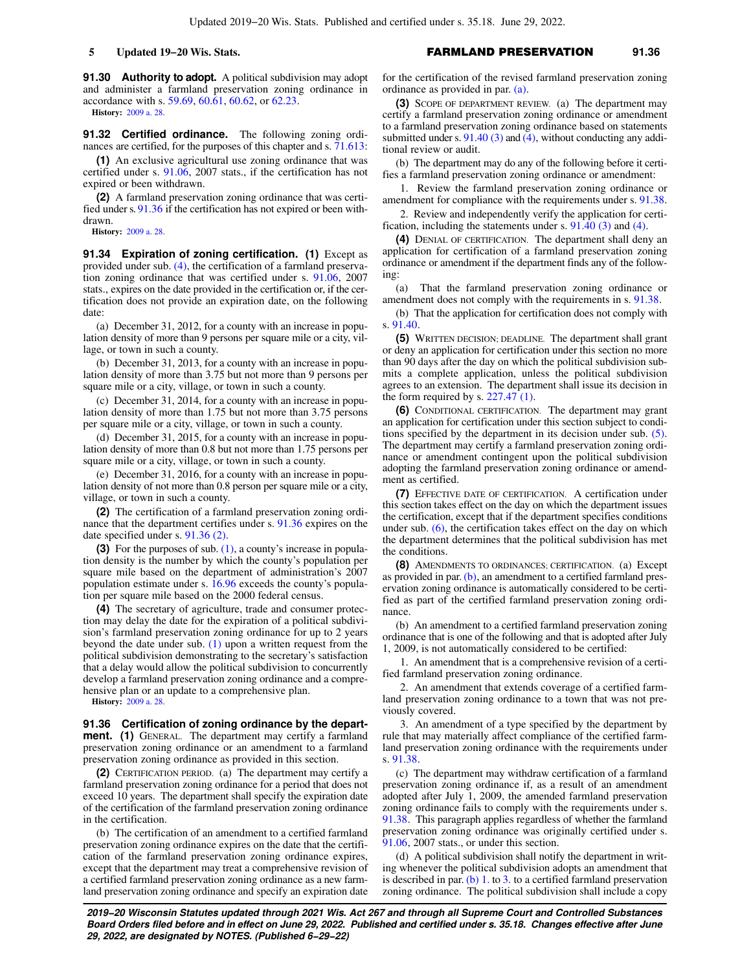**91.30 Authority to adopt.** A political subdivision may adopt and administer a farmland preservation zoning ordinance in accordance with s. [59.69,](https://docs.legis.wisconsin.gov/document/statutes/59.69) [60.61](https://docs.legis.wisconsin.gov/document/statutes/60.61), [60.62](https://docs.legis.wisconsin.gov/document/statutes/60.62), or [62.23](https://docs.legis.wisconsin.gov/document/statutes/62.23). **History:** [2009 a. 28.](https://docs.legis.wisconsin.gov/document/acts/2009/28)

**91.32 Certified ordinance.** The following zoning ordinances are certified, for the purposes of this chapter and s. [71.613:](https://docs.legis.wisconsin.gov/document/statutes/71.613)

**(1)** An exclusive agricultural use zoning ordinance that was certified under s. [91.06,](https://docs.legis.wisconsin.gov/document/statutes/2007/91.06) 2007 stats., if the certification has not expired or been withdrawn.

**(2)** A farmland preservation zoning ordinance that was certified under s. [91.36](https://docs.legis.wisconsin.gov/document/statutes/91.36) if the certification has not expired or been withdrawn.

**History:** [2009 a. 28.](https://docs.legis.wisconsin.gov/document/acts/2009/28)

**91.34 Expiration of zoning certification. (1)** Except as provided under sub. [\(4\)](https://docs.legis.wisconsin.gov/document/statutes/91.34(4)), the certification of a farmland preservation zoning ordinance that was certified under s. [91.06,](https://docs.legis.wisconsin.gov/document/statutes/2007/91.06) 2007 stats., expires on the date provided in the certification or, if the certification does not provide an expiration date, on the following date:

(a) December 31, 2012, for a county with an increase in population density of more than 9 persons per square mile or a city, village, or town in such a county.

(b) December 31, 2013, for a county with an increase in population density of more than 3.75 but not more than 9 persons per square mile or a city, village, or town in such a county.

(c) December 31, 2014, for a county with an increase in population density of more than 1.75 but not more than 3.75 persons per square mile or a city, village, or town in such a county.

(d) December 31, 2015, for a county with an increase in population density of more than 0.8 but not more than 1.75 persons per square mile or a city, village, or town in such a county.

(e) December 31, 2016, for a county with an increase in population density of not more than 0.8 person per square mile or a city, village, or town in such a county.

**(2)** The certification of a farmland preservation zoning ordinance that the department certifies under s. [91.36](https://docs.legis.wisconsin.gov/document/statutes/91.36) expires on the date specified under s. [91.36 \(2\)](https://docs.legis.wisconsin.gov/document/statutes/91.36(2)).

**(3)** For the purposes of sub. [\(1\),](https://docs.legis.wisconsin.gov/document/statutes/91.34(1)) a county's increase in population density is the number by which the county's population per square mile based on the department of administration's 2007 population estimate under s. [16.96](https://docs.legis.wisconsin.gov/document/statutes/16.96) exceeds the county's population per square mile based on the 2000 federal census.

**(4)** The secretary of agriculture, trade and consumer protection may delay the date for the expiration of a political subdivision's farmland preservation zoning ordinance for up to 2 years beyond the date under sub.  $(1)$  upon a written request from the political subdivision demonstrating to the secretary's satisfaction that a delay would allow the political subdivision to concurrently develop a farmland preservation zoning ordinance and a comprehensive plan or an update to a comprehensive plan.

**History:** [2009 a. 28.](https://docs.legis.wisconsin.gov/document/acts/2009/28)

**91.36 Certification of zoning ordinance by the department. (1)** GENERAL. The department may certify a farmland preservation zoning ordinance or an amendment to a farmland preservation zoning ordinance as provided in this section.

**(2)** CERTIFICATION PERIOD. (a) The department may certify a farmland preservation zoning ordinance for a period that does not exceed 10 years. The department shall specify the expiration date of the certification of the farmland preservation zoning ordinance in the certification.

(b) The certification of an amendment to a certified farmland preservation zoning ordinance expires on the date that the certification of the farmland preservation zoning ordinance expires, except that the department may treat a comprehensive revision of a certified farmland preservation zoning ordinance as a new farmland preservation zoning ordinance and specify an expiration date for the certification of the revised farmland preservation zoning ordinance as provided in par. [\(a\)](https://docs.legis.wisconsin.gov/document/statutes/91.36(2)(a)).

**(3)** SCOPE OF DEPARTMENT REVIEW. (a) The department may certify a farmland preservation zoning ordinance or amendment to a farmland preservation zoning ordinance based on statements submitted under s.  $91.40(3)$  and  $(4)$ , without conducting any additional review or audit.

(b) The department may do any of the following before it certifies a farmland preservation zoning ordinance or amendment:

1. Review the farmland preservation zoning ordinance or amendment for compliance with the requirements under s. [91.38.](https://docs.legis.wisconsin.gov/document/statutes/91.38)

2. Review and independently verify the application for certification, including the statements under s. [91.40 \(3\)](https://docs.legis.wisconsin.gov/document/statutes/91.40(3)) and [\(4\).](https://docs.legis.wisconsin.gov/document/statutes/91.40(4))

**(4)** DENIAL OF CERTIFICATION. The department shall deny an application for certification of a farmland preservation zoning ordinance or amendment if the department finds any of the following:

(a) That the farmland preservation zoning ordinance or amendment does not comply with the requirements in s. [91.38.](https://docs.legis.wisconsin.gov/document/statutes/91.38)

(b) That the application for certification does not comply with s. [91.40](https://docs.legis.wisconsin.gov/document/statutes/91.40).

**(5)** WRITTEN DECISION; DEADLINE. The department shall grant or deny an application for certification under this section no more than 90 days after the day on which the political subdivision submits a complete application, unless the political subdivision agrees to an extension. The department shall issue its decision in the form required by s.  $227.47(1)$ .

**(6)** CONDITIONAL CERTIFICATION. The department may grant an application for certification under this section subject to conditions specified by the department in its decision under sub. [\(5\).](https://docs.legis.wisconsin.gov/document/statutes/91.36(5)) The department may certify a farmland preservation zoning ordinance or amendment contingent upon the political subdivision adopting the farmland preservation zoning ordinance or amendment as certified.

**(7)** EFFECTIVE DATE OF CERTIFICATION. A certification under this section takes effect on the day on which the department issues the certification, except that if the department specifies conditions under sub. [\(6\),](https://docs.legis.wisconsin.gov/document/statutes/91.36(6)) the certification takes effect on the day on which the department determines that the political subdivision has met the conditions.

**(8)** AMENDMENTS TO ORDINANCES; CERTIFICATION. (a) Except as provided in par. [\(b\),](https://docs.legis.wisconsin.gov/document/statutes/91.36(8)(b)) an amendment to a certified farmland preservation zoning ordinance is automatically considered to be certified as part of the certified farmland preservation zoning ordinance.

(b) An amendment to a certified farmland preservation zoning ordinance that is one of the following and that is adopted after July 1, 2009, is not automatically considered to be certified:

1. An amendment that is a comprehensive revision of a certified farmland preservation zoning ordinance.

2. An amendment that extends coverage of a certified farmland preservation zoning ordinance to a town that was not previously covered.

3. An amendment of a type specified by the department by rule that may materially affect compliance of the certified farmland preservation zoning ordinance with the requirements under s. [91.38](https://docs.legis.wisconsin.gov/document/statutes/91.38).

(c) The department may withdraw certification of a farmland preservation zoning ordinance if, as a result of an amendment adopted after July 1, 2009, the amended farmland preservation zoning ordinance fails to comply with the requirements under s. [91.38](https://docs.legis.wisconsin.gov/document/statutes/91.38). This paragraph applies regardless of whether the farmland preservation zoning ordinance was originally certified under s. [91.06](https://docs.legis.wisconsin.gov/document/statutes/2007/91.06), 2007 stats., or under this section.

(d) A political subdivision shall notify the department in writing whenever the political subdivision adopts an amendment that is described in par. [\(b\) 1.](https://docs.legis.wisconsin.gov/document/statutes/91.36(8)(b)1.) to [3.](https://docs.legis.wisconsin.gov/document/statutes/91.36(8)(b)3.) to a certified farmland preservation zoning ordinance. The political subdivision shall include a copy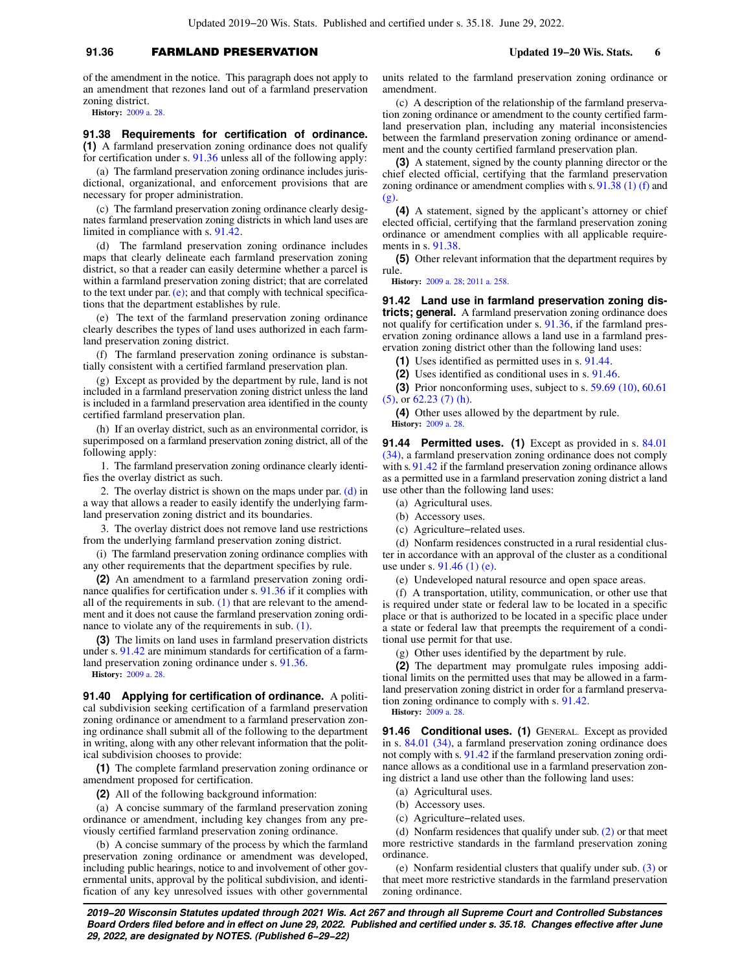# **91.36** FARMLAND PRESERVATION **Updated 19−20 Wis. Stats. 6**

of the amendment in the notice. This paragraph does not apply to an amendment that rezones land out of a farmland preservation zoning district.

**History:** [2009 a. 28.](https://docs.legis.wisconsin.gov/document/acts/2009/28)

**91.38 Requirements for certification of ordinance. (1)** A farmland preservation zoning ordinance does not qualify for certification under s. [91.36](https://docs.legis.wisconsin.gov/document/statutes/91.36) unless all of the following apply:

(a) The farmland preservation zoning ordinance includes jurisdictional, organizational, and enforcement provisions that are necessary for proper administration.

(c) The farmland preservation zoning ordinance clearly designates farmland preservation zoning districts in which land uses are limited in compliance with s. [91.42.](https://docs.legis.wisconsin.gov/document/statutes/91.42)

(d) The farmland preservation zoning ordinance includes maps that clearly delineate each farmland preservation zoning district, so that a reader can easily determine whether a parcel is within a farmland preservation zoning district; that are correlated to the text under par.  $(e)$ ; and that comply with technical specifications that the department establishes by rule.

(e) The text of the farmland preservation zoning ordinance clearly describes the types of land uses authorized in each farmland preservation zoning district.

(f) The farmland preservation zoning ordinance is substantially consistent with a certified farmland preservation plan.

(g) Except as provided by the department by rule, land is not included in a farmland preservation zoning district unless the land is included in a farmland preservation area identified in the county certified farmland preservation plan.

(h) If an overlay district, such as an environmental corridor, is superimposed on a farmland preservation zoning district, all of the following apply:

1. The farmland preservation zoning ordinance clearly identifies the overlay district as such.

2. The overlay district is shown on the maps under par. [\(d\)](https://docs.legis.wisconsin.gov/document/statutes/91.38(1)(d)) in a way that allows a reader to easily identify the underlying farmland preservation zoning district and its boundaries.

3. The overlay district does not remove land use restrictions from the underlying farmland preservation zoning district.

(i) The farmland preservation zoning ordinance complies with any other requirements that the department specifies by rule.

**(2)** An amendment to a farmland preservation zoning ordinance qualifies for certification under s. [91.36](https://docs.legis.wisconsin.gov/document/statutes/91.36) if it complies with all of the requirements in sub.  $(1)$  that are relevant to the amendment and it does not cause the farmland preservation zoning ordinance to violate any of the requirements in sub. [\(1\)](https://docs.legis.wisconsin.gov/document/statutes/91.38(1)).

**(3)** The limits on land uses in farmland preservation districts under s. [91.42](https://docs.legis.wisconsin.gov/document/statutes/91.42) are minimum standards for certification of a farmland preservation zoning ordinance under s. [91.36.](https://docs.legis.wisconsin.gov/document/statutes/91.36)

**History:** [2009 a. 28.](https://docs.legis.wisconsin.gov/document/acts/2009/28)

**91.40 Applying for certification of ordinance.** A political subdivision seeking certification of a farmland preservation zoning ordinance or amendment to a farmland preservation zoning ordinance shall submit all of the following to the department in writing, along with any other relevant information that the political subdivision chooses to provide:

**(1)** The complete farmland preservation zoning ordinance or amendment proposed for certification.

**(2)** All of the following background information:

(a) A concise summary of the farmland preservation zoning ordinance or amendment, including key changes from any previously certified farmland preservation zoning ordinance.

(b) A concise summary of the process by which the farmland preservation zoning ordinance or amendment was developed, including public hearings, notice to and involvement of other governmental units, approval by the political subdivision, and identification of any key unresolved issues with other governmental units related to the farmland preservation zoning ordinance or amendment.

(c) A description of the relationship of the farmland preservation zoning ordinance or amendment to the county certified farmland preservation plan, including any material inconsistencies between the farmland preservation zoning ordinance or amendment and the county certified farmland preservation plan.

**(3)** A statement, signed by the county planning director or the chief elected official, certifying that the farmland preservation zoning ordinance or amendment complies with s. [91.38 \(1\) \(f\)](https://docs.legis.wisconsin.gov/document/statutes/91.38(1)(f)) and [\(g\).](https://docs.legis.wisconsin.gov/document/statutes/91.38(1)(g))

**(4)** A statement, signed by the applicant's attorney or chief elected official, certifying that the farmland preservation zoning ordinance or amendment complies with all applicable requirements in s. [91.38.](https://docs.legis.wisconsin.gov/document/statutes/91.38)

**(5)** Other relevant information that the department requires by rule.

**History:** [2009 a. 28](https://docs.legis.wisconsin.gov/document/acts/2009/28); [2011 a. 258](https://docs.legis.wisconsin.gov/document/acts/2011/258).

**91.42 Land use in farmland preservation zoning districts; general.** A farmland preservation zoning ordinance does not qualify for certification under s. [91.36,](https://docs.legis.wisconsin.gov/document/statutes/91.36) if the farmland preservation zoning ordinance allows a land use in a farmland preservation zoning district other than the following land uses:

**(1)** Uses identified as permitted uses in s. [91.44](https://docs.legis.wisconsin.gov/document/statutes/91.44).

**(2)** Uses identified as conditional uses in s. [91.46](https://docs.legis.wisconsin.gov/document/statutes/91.46).

**(3)** Prior nonconforming uses, subject to s. [59.69 \(10\)](https://docs.legis.wisconsin.gov/document/statutes/59.69(10)), [60.61](https://docs.legis.wisconsin.gov/document/statutes/60.61(5)) [\(5\),](https://docs.legis.wisconsin.gov/document/statutes/60.61(5)) or [62.23 \(7\) \(h\).](https://docs.legis.wisconsin.gov/document/statutes/62.23(7)(h))

**(4)** Other uses allowed by the department by rule. **History:** [2009 a. 28](https://docs.legis.wisconsin.gov/document/acts/2009/28).

**91.44 Permitted uses. (1)** Except as provided in s. [84.01](https://docs.legis.wisconsin.gov/document/statutes/84.01(34)) [\(34\)](https://docs.legis.wisconsin.gov/document/statutes/84.01(34)), a farmland preservation zoning ordinance does not comply with s. [91.42](https://docs.legis.wisconsin.gov/document/statutes/91.42) if the farmland preservation zoning ordinance allows as a permitted use in a farmland preservation zoning district a land use other than the following land uses:

(a) Agricultural uses.

(b) Accessory uses.

(c) Agriculture−related uses.

(d) Nonfarm residences constructed in a rural residential cluster in accordance with an approval of the cluster as a conditional use under s. [91.46 \(1\) \(e\).](https://docs.legis.wisconsin.gov/document/statutes/91.46(1)(e))

(e) Undeveloped natural resource and open space areas.

(f) A transportation, utility, communication, or other use that is required under state or federal law to be located in a specific place or that is authorized to be located in a specific place under a state or federal law that preempts the requirement of a conditional use permit for that use.

(g) Other uses identified by the department by rule.

**(2)** The department may promulgate rules imposing additional limits on the permitted uses that may be allowed in a farmland preservation zoning district in order for a farmland preservation zoning ordinance to comply with s. [91.42.](https://docs.legis.wisconsin.gov/document/statutes/91.42) **History:** [2009 a. 28](https://docs.legis.wisconsin.gov/document/acts/2009/28).

**91.46 Conditional uses. (1)** GENERAL. Except as provided in s. [84.01 \(34\)](https://docs.legis.wisconsin.gov/document/statutes/84.01(34)), a farmland preservation zoning ordinance does not comply with s. [91.42](https://docs.legis.wisconsin.gov/document/statutes/91.42) if the farmland preservation zoning ordinance allows as a conditional use in a farmland preservation zoning district a land use other than the following land uses:

- (a) Agricultural uses.
- (b) Accessory uses.
- (c) Agriculture−related uses.

(d) Nonfarm residences that qualify under sub. [\(2\)](https://docs.legis.wisconsin.gov/document/statutes/91.46(2)) or that meet more restrictive standards in the farmland preservation zoning ordinance.

(e) Nonfarm residential clusters that qualify under sub. [\(3\)](https://docs.legis.wisconsin.gov/document/statutes/91.46(3)) or that meet more restrictive standards in the farmland preservation zoning ordinance.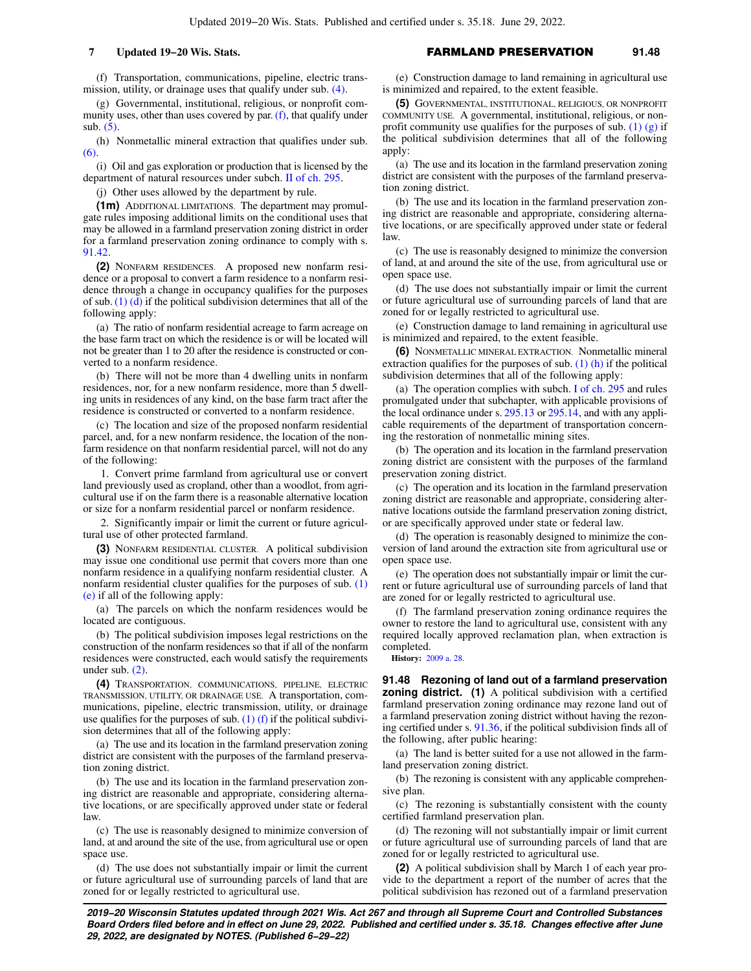(f) Transportation, communications, pipeline, electric transmission, utility, or drainage uses that qualify under sub. [\(4\)](https://docs.legis.wisconsin.gov/document/statutes/91.46(4)).

(g) Governmental, institutional, religious, or nonprofit community uses, other than uses covered by par.  $(f)$ , that qualify under sub. [\(5\)](https://docs.legis.wisconsin.gov/document/statutes/91.46(5)).

(h) Nonmetallic mineral extraction that qualifies under sub. [\(6\)](https://docs.legis.wisconsin.gov/document/statutes/91.46(6)).

(i) Oil and gas exploration or production that is licensed by the department of natural resources under subch. [II of ch. 295.](https://docs.legis.wisconsin.gov/document/statutes/subch.%20II%20of%20ch.%20295)

(j) Other uses allowed by the department by rule.

**(1m)** ADDITIONAL LIMITATIONS. The department may promulgate rules imposing additional limits on the conditional uses that may be allowed in a farmland preservation zoning district in order for a farmland preservation zoning ordinance to comply with s. [91.42](https://docs.legis.wisconsin.gov/document/statutes/91.42).

**(2)** NONFARM RESIDENCES. A proposed new nonfarm residence or a proposal to convert a farm residence to a nonfarm residence through a change in occupancy qualifies for the purposes of sub.  $(1)$   $(d)$  if the political subdivision determines that all of the following apply:

(a) The ratio of nonfarm residential acreage to farm acreage on the base farm tract on which the residence is or will be located will not be greater than 1 to 20 after the residence is constructed or converted to a nonfarm residence.

(b) There will not be more than 4 dwelling units in nonfarm residences, nor, for a new nonfarm residence, more than 5 dwelling units in residences of any kind, on the base farm tract after the residence is constructed or converted to a nonfarm residence.

(c) The location and size of the proposed nonfarm residential parcel, and, for a new nonfarm residence, the location of the nonfarm residence on that nonfarm residential parcel, will not do any of the following:

1. Convert prime farmland from agricultural use or convert land previously used as cropland, other than a woodlot, from agricultural use if on the farm there is a reasonable alternative location or size for a nonfarm residential parcel or nonfarm residence.

2. Significantly impair or limit the current or future agricultural use of other protected farmland.

**(3)** NONFARM RESIDENTIAL CLUSTER. A political subdivision may issue one conditional use permit that covers more than one nonfarm residence in a qualifying nonfarm residential cluster. A nonfarm residential cluster qualifies for the purposes of sub. [\(1\)](https://docs.legis.wisconsin.gov/document/statutes/91.46(1)(e)) [\(e\)](https://docs.legis.wisconsin.gov/document/statutes/91.46(1)(e)) if all of the following apply:

(a) The parcels on which the nonfarm residences would be located are contiguous.

(b) The political subdivision imposes legal restrictions on the construction of the nonfarm residences so that if all of the nonfarm residences were constructed, each would satisfy the requirements under sub. [\(2\)](https://docs.legis.wisconsin.gov/document/statutes/91.46(2)).

**(4)** TRANSPORTATION, COMMUNICATIONS, PIPELINE, ELECTRIC TRANSMISSION, UTILITY, OR DRAINAGE USE. A transportation, communications, pipeline, electric transmission, utility, or drainage use qualifies for the purposes of sub.  $(1)$  (f) if the political subdivision determines that all of the following apply:

(a) The use and its location in the farmland preservation zoning district are consistent with the purposes of the farmland preservation zoning district.

(b) The use and its location in the farmland preservation zoning district are reasonable and appropriate, considering alternative locations, or are specifically approved under state or federal law.

(c) The use is reasonably designed to minimize conversion of land, at and around the site of the use, from agricultural use or open space use.

(d) The use does not substantially impair or limit the current or future agricultural use of surrounding parcels of land that are zoned for or legally restricted to agricultural use.

(e) Construction damage to land remaining in agricultural use is minimized and repaired, to the extent feasible.

**(5)** GOVERNMENTAL, INSTITUTIONAL, RELIGIOUS, OR NONPROFIT COMMUNITY USE. A governmental, institutional, religious, or nonprofit community use qualifies for the purposes of sub. [\(1\) \(g\)](https://docs.legis.wisconsin.gov/document/statutes/91.46(1)(g)) if the political subdivision determines that all of the following apply:

(a) The use and its location in the farmland preservation zoning district are consistent with the purposes of the farmland preservation zoning district.

(b) The use and its location in the farmland preservation zoning district are reasonable and appropriate, considering alternative locations, or are specifically approved under state or federal law.

(c) The use is reasonably designed to minimize the conversion of land, at and around the site of the use, from agricultural use or open space use.

(d) The use does not substantially impair or limit the current or future agricultural use of surrounding parcels of land that are zoned for or legally restricted to agricultural use.

(e) Construction damage to land remaining in agricultural use is minimized and repaired, to the extent feasible.

**(6)** NONMETALLIC MINERAL EXTRACTION. Nonmetallic mineral extraction qualifies for the purposes of sub. [\(1\) \(h\)](https://docs.legis.wisconsin.gov/document/statutes/91.46(1)(h)) if the political subdivision determines that all of the following apply:

(a) The operation complies with subch. [I of ch. 295](https://docs.legis.wisconsin.gov/document/statutes/subch.%20I%20of%20ch.%20295) and rules promulgated under that subchapter, with applicable provisions of the local ordinance under s. [295.13](https://docs.legis.wisconsin.gov/document/statutes/295.13) or [295.14,](https://docs.legis.wisconsin.gov/document/statutes/295.14) and with any applicable requirements of the department of transportation concerning the restoration of nonmetallic mining sites.

(b) The operation and its location in the farmland preservation zoning district are consistent with the purposes of the farmland preservation zoning district.

(c) The operation and its location in the farmland preservation zoning district are reasonable and appropriate, considering alternative locations outside the farmland preservation zoning district, or are specifically approved under state or federal law.

(d) The operation is reasonably designed to minimize the conversion of land around the extraction site from agricultural use or open space use.

(e) The operation does not substantially impair or limit the current or future agricultural use of surrounding parcels of land that are zoned for or legally restricted to agricultural use.

(f) The farmland preservation zoning ordinance requires the owner to restore the land to agricultural use, consistent with any required locally approved reclamation plan, when extraction is completed.

**History:** [2009 a. 28](https://docs.legis.wisconsin.gov/document/acts/2009/28).

**91.48 Rezoning of land out of a farmland preservation zoning district.** (1) A political subdivision with a certified farmland preservation zoning ordinance may rezone land out of a farmland preservation zoning district without having the rezoning certified under s. [91.36](https://docs.legis.wisconsin.gov/document/statutes/91.36), if the political subdivision finds all of the following, after public hearing:

(a) The land is better suited for a use not allowed in the farmland preservation zoning district.

(b) The rezoning is consistent with any applicable comprehensive plan.

(c) The rezoning is substantially consistent with the county certified farmland preservation plan.

(d) The rezoning will not substantially impair or limit current or future agricultural use of surrounding parcels of land that are zoned for or legally restricted to agricultural use.

**(2)** A political subdivision shall by March 1 of each year provide to the department a report of the number of acres that the political subdivision has rezoned out of a farmland preservation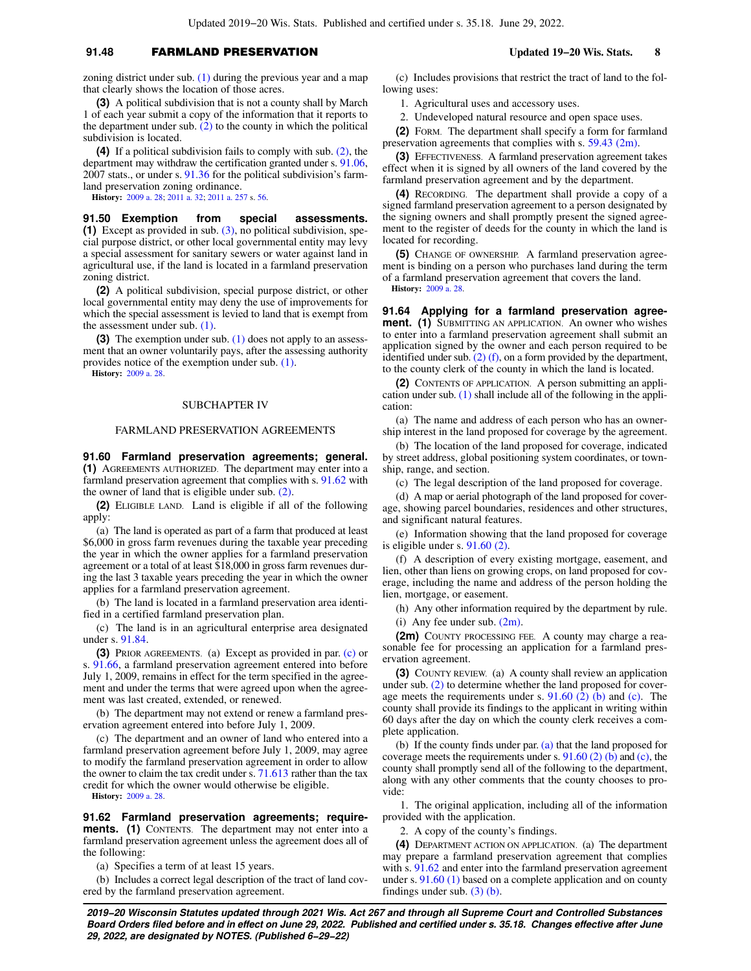## **91.48** FARMLAND PRESERVATION **Updated 19−20 Wis. Stats. 8**

zoning district under sub. [\(1\)](https://docs.legis.wisconsin.gov/document/statutes/91.48(1)) during the previous year and a map that clearly shows the location of those acres.

**(3)** A political subdivision that is not a county shall by March 1 of each year submit a copy of the information that it reports to the department under sub.  $(2)$  to the county in which the political subdivision is located.

**(4)** If a political subdivision fails to comply with sub. [\(2\),](https://docs.legis.wisconsin.gov/document/statutes/91.48(2)) the department may withdraw the certification granted under s. [91.06,](https://docs.legis.wisconsin.gov/document/statutes/2007/91.06) 2007 stats., or under s. [91.36](https://docs.legis.wisconsin.gov/document/statutes/91.36) for the political subdivision's farmland preservation zoning ordinance.

**History:** [2009 a. 28;](https://docs.legis.wisconsin.gov/document/acts/2009/28) [2011 a. 32;](https://docs.legis.wisconsin.gov/document/acts/2011/32) [2011 a. 257](https://docs.legis.wisconsin.gov/document/acts/2011/257) s. [56](https://docs.legis.wisconsin.gov/document/acts/2011/257,%20s.%2056).

**91.50 Exemption from special assessments. (1)** Except as provided in sub. [\(3\)](https://docs.legis.wisconsin.gov/document/statutes/91.50(3)), no political subdivision, special purpose district, or other local governmental entity may levy a special assessment for sanitary sewers or water against land in agricultural use, if the land is located in a farmland preservation zoning district.

**(2)** A political subdivision, special purpose district, or other local governmental entity may deny the use of improvements for which the special assessment is levied to land that is exempt from the assessment under sub. [\(1\)](https://docs.legis.wisconsin.gov/document/statutes/91.50(1)).

**(3)** The exemption under sub. [\(1\)](https://docs.legis.wisconsin.gov/document/statutes/91.50(1)) does not apply to an assessment that an owner voluntarily pays, after the assessing authority provides notice of the exemption under sub. [\(1\).](https://docs.legis.wisconsin.gov/document/statutes/91.50(1))

**History:** [2009 a. 28.](https://docs.legis.wisconsin.gov/document/acts/2009/28)

## SUBCHAPTER IV

### FARMLAND PRESERVATION AGREEMENTS

**91.60 Farmland preservation agreements; general. (1)** AGREEMENTS AUTHORIZED. The department may enter into a farmland preservation agreement that complies with s. [91.62](https://docs.legis.wisconsin.gov/document/statutes/91.62) with the owner of land that is eligible under sub. [\(2\).](https://docs.legis.wisconsin.gov/document/statutes/91.60(2))

**(2)** ELIGIBLE LAND. Land is eligible if all of the following apply:

(a) The land is operated as part of a farm that produced at least \$6,000 in gross farm revenues during the taxable year preceding the year in which the owner applies for a farmland preservation agreement or a total of at least \$18,000 in gross farm revenues during the last 3 taxable years preceding the year in which the owner applies for a farmland preservation agreement.

(b) The land is located in a farmland preservation area identified in a certified farmland preservation plan.

(c) The land is in an agricultural enterprise area designated under s. [91.84](https://docs.legis.wisconsin.gov/document/statutes/91.84).

**(3)** PRIOR AGREEMENTS. (a) Except as provided in par. [\(c\)](https://docs.legis.wisconsin.gov/document/statutes/91.60(3)(c)) or s. [91.66,](https://docs.legis.wisconsin.gov/document/statutes/91.66) a farmland preservation agreement entered into before July 1, 2009, remains in effect for the term specified in the agreement and under the terms that were agreed upon when the agreement was last created, extended, or renewed.

(b) The department may not extend or renew a farmland preservation agreement entered into before July 1, 2009.

(c) The department and an owner of land who entered into a farmland preservation agreement before July 1, 2009, may agree to modify the farmland preservation agreement in order to allow the owner to claim the tax credit under s. [71.613](https://docs.legis.wisconsin.gov/document/statutes/71.613) rather than the tax credit for which the owner would otherwise be eligible.

**History:** [2009 a. 28.](https://docs.legis.wisconsin.gov/document/acts/2009/28)

**91.62 Farmland preservation agreements; requirements. (1)** CONTENTS. The department may not enter into a farmland preservation agreement unless the agreement does all of the following:

(a) Specifies a term of at least 15 years.

(b) Includes a correct legal description of the tract of land covered by the farmland preservation agreement.

(c) Includes provisions that restrict the tract of land to the following uses:

1. Agricultural uses and accessory uses.

2. Undeveloped natural resource and open space uses.

**(2)** FORM. The department shall specify a form for farmland preservation agreements that complies with s. [59.43 \(2m\).](https://docs.legis.wisconsin.gov/document/statutes/59.43(2m))

**(3)** EFFECTIVENESS. A farmland preservation agreement takes effect when it is signed by all owners of the land covered by the farmland preservation agreement and by the department.

**(4)** RECORDING. The department shall provide a copy of a signed farmland preservation agreement to a person designated by the signing owners and shall promptly present the signed agreement to the register of deeds for the county in which the land is located for recording.

**(5)** CHANGE OF OWNERSHIP. A farmland preservation agreement is binding on a person who purchases land during the term of a farmland preservation agreement that covers the land. **History:** [2009 a. 28](https://docs.legis.wisconsin.gov/document/acts/2009/28).

**91.64 Applying for a farmland preservation agreement. (1)** SUBMITTING AN APPLICATION. An owner who wishes to enter into a farmland preservation agreement shall submit an application signed by the owner and each person required to be identified under sub.  $(2)$  (f), on a form provided by the department, to the county clerk of the county in which the land is located.

**(2)** CONTENTS OF APPLICATION. A person submitting an application under sub. [\(1\)](https://docs.legis.wisconsin.gov/document/statutes/91.64(1)) shall include all of the following in the application:

(a) The name and address of each person who has an ownership interest in the land proposed for coverage by the agreement.

(b) The location of the land proposed for coverage, indicated by street address, global positioning system coordinates, or township, range, and section.

(c) The legal description of the land proposed for coverage.

(d) A map or aerial photograph of the land proposed for coverage, showing parcel boundaries, residences and other structures, and significant natural features.

(e) Information showing that the land proposed for coverage is eligible under s. [91.60 \(2\).](https://docs.legis.wisconsin.gov/document/statutes/91.60(2))

(f) A description of every existing mortgage, easement, and lien, other than liens on growing crops, on land proposed for coverage, including the name and address of the person holding the lien, mortgage, or easement.

(h) Any other information required by the department by rule. (i) Any fee under sub. [\(2m\).](https://docs.legis.wisconsin.gov/document/statutes/91.64(2m))

**(2m)** COUNTY PROCESSING FEE. A county may charge a reasonable fee for processing an application for a farmland preservation agreement.

**(3)** COUNTY REVIEW. (a) A county shall review an application under sub. [\(2\)](https://docs.legis.wisconsin.gov/document/statutes/91.64(2)) to determine whether the land proposed for coverage meets the requirements under s.  $91.60$  (2) (b) and [\(c\)](https://docs.legis.wisconsin.gov/document/statutes/91.60(2)(c)). The county shall provide its findings to the applicant in writing within 60 days after the day on which the county clerk receives a complete application.

(b) If the county finds under par. [\(a\)](https://docs.legis.wisconsin.gov/document/statutes/91.64(3)(a)) that the land proposed for coverage meets the requirements under s.  $91.60(2)$  (b) and [\(c\),](https://docs.legis.wisconsin.gov/document/statutes/91.60(2)(c)) the county shall promptly send all of the following to the department, along with any other comments that the county chooses to provide:

1. The original application, including all of the information provided with the application.

2. A copy of the county's findings.

**(4)** DEPARTMENT ACTION ON APPLICATION. (a) The department may prepare a farmland preservation agreement that complies with s. [91.62](https://docs.legis.wisconsin.gov/document/statutes/91.62) and enter into the farmland preservation agreement under s. [91.60 \(1\)](https://docs.legis.wisconsin.gov/document/statutes/91.60(1)) based on a complete application and on county findings under sub. [\(3\) \(b\)](https://docs.legis.wisconsin.gov/document/statutes/91.64(3)(b)).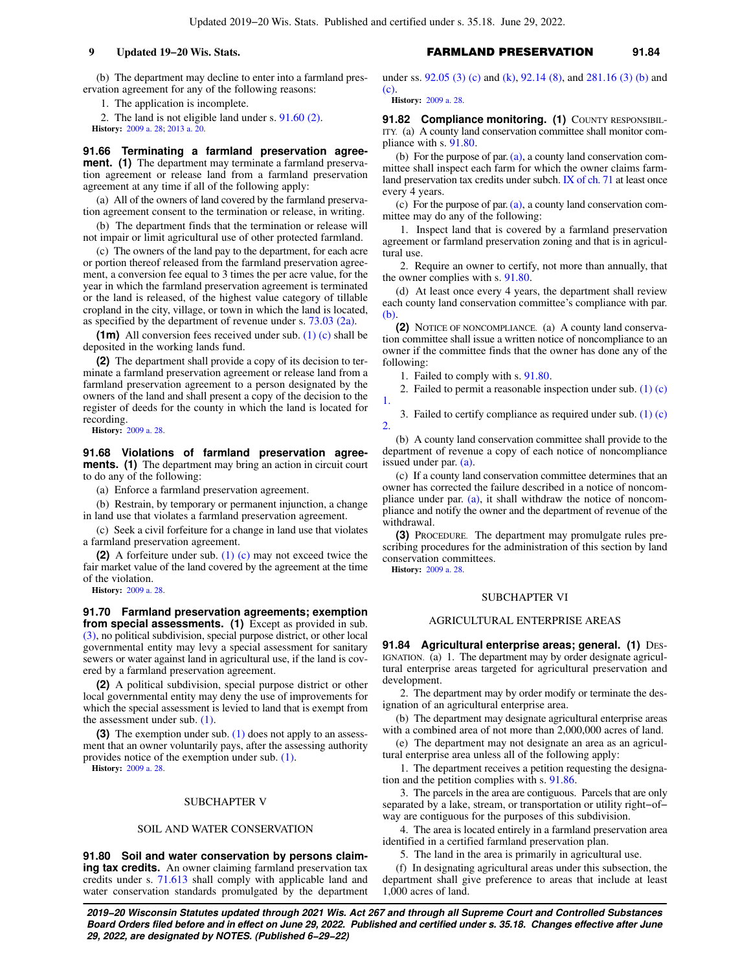(b) The department may decline to enter into a farmland preservation agreement for any of the following reasons:

1. The application is incomplete.

2. The land is not eligible land under s. [91.60 \(2\)](https://docs.legis.wisconsin.gov/document/statutes/91.60(2)). **History:** [2009 a. 28;](https://docs.legis.wisconsin.gov/document/acts/2009/28) [2013 a. 20.](https://docs.legis.wisconsin.gov/document/acts/2013/20)

**91.66 Terminating a farmland preservation agreement.** (1) The department may terminate a farmland preservation agreement or release land from a farmland preservation agreement at any time if all of the following apply:

(a) All of the owners of land covered by the farmland preservation agreement consent to the termination or release, in writing.

(b) The department finds that the termination or release will not impair or limit agricultural use of other protected farmland.

(c) The owners of the land pay to the department, for each acre or portion thereof released from the farmland preservation agreement, a conversion fee equal to 3 times the per acre value, for the year in which the farmland preservation agreement is terminated or the land is released, of the highest value category of tillable cropland in the city, village, or town in which the land is located, as specified by the department of revenue under s. [73.03 \(2a\)](https://docs.legis.wisconsin.gov/document/statutes/73.03(2a)).

**(1m)** All conversion fees received under sub. [\(1\) \(c\)](https://docs.legis.wisconsin.gov/document/statutes/91.66(1)(c)) shall be deposited in the working lands fund.

**(2)** The department shall provide a copy of its decision to terminate a farmland preservation agreement or release land from a farmland preservation agreement to a person designated by the owners of the land and shall present a copy of the decision to the register of deeds for the county in which the land is located for recording.

**History:** [2009 a. 28.](https://docs.legis.wisconsin.gov/document/acts/2009/28)

**91.68 Violations of farmland preservation agreements. (1)** The department may bring an action in circuit court to do any of the following:

(a) Enforce a farmland preservation agreement.

(b) Restrain, by temporary or permanent injunction, a change in land use that violates a farmland preservation agreement.

(c) Seek a civil forfeiture for a change in land use that violates a farmland preservation agreement.

**(2)** A forfeiture under sub. [\(1\) \(c\)](https://docs.legis.wisconsin.gov/document/statutes/91.68(1)(c)) may not exceed twice the fair market value of the land covered by the agreement at the time of the violation.

**History:** [2009 a. 28.](https://docs.legis.wisconsin.gov/document/acts/2009/28)

**91.70 Farmland preservation agreements; exemption from special assessments. (1)** Except as provided in sub. [\(3\)](https://docs.legis.wisconsin.gov/document/statutes/91.70(3)), no political subdivision, special purpose district, or other local governmental entity may levy a special assessment for sanitary sewers or water against land in agricultural use, if the land is covered by a farmland preservation agreement.

**(2)** A political subdivision, special purpose district or other local governmental entity may deny the use of improvements for which the special assessment is levied to land that is exempt from the assessment under sub. [\(1\)](https://docs.legis.wisconsin.gov/document/statutes/91.70(1)).

**(3)** The exemption under sub. [\(1\)](https://docs.legis.wisconsin.gov/document/statutes/91.70(1)) does not apply to an assessment that an owner voluntarily pays, after the assessing authority provides notice of the exemption under sub. [\(1\).](https://docs.legis.wisconsin.gov/document/statutes/91.70(1))

**History:** [2009 a. 28.](https://docs.legis.wisconsin.gov/document/acts/2009/28)

#### SUBCHAPTER V

#### SOIL AND WATER CONSERVATION

**91.80 Soil and water conservation by persons claiming tax credits.** An owner claiming farmland preservation tax credits under s. [71.613](https://docs.legis.wisconsin.gov/document/statutes/71.613) shall comply with applicable land and water conservation standards promulgated by the department under ss. [92.05 \(3\) \(c\)](https://docs.legis.wisconsin.gov/document/statutes/92.05(3)(c)) and [\(k\)](https://docs.legis.wisconsin.gov/document/statutes/92.05(3)(k)), [92.14 \(8\)](https://docs.legis.wisconsin.gov/document/statutes/92.14(8)), and [281.16 \(3\) \(b\)](https://docs.legis.wisconsin.gov/document/statutes/281.16(3)(b)) and [\(c\)](https://docs.legis.wisconsin.gov/document/statutes/281.16(3)(c)).

**History:** [2009 a. 28](https://docs.legis.wisconsin.gov/document/acts/2009/28).

91.82 Compliance monitoring. (1) COUNTY RESPONSIBIL-ITY. (a) A county land conservation committee shall monitor compliance with s. [91.80](https://docs.legis.wisconsin.gov/document/statutes/91.80).

(b) For the purpose of par.  $(a)$ , a county land conservation committee shall inspect each farm for which the owner claims farmland preservation tax credits under subch. [IX of ch. 71](https://docs.legis.wisconsin.gov/document/statutes/subch.%20IX%20of%20ch.%2071) at least once every 4 years.

(c) For the purpose of par. [\(a\),](https://docs.legis.wisconsin.gov/document/statutes/91.82(1)(a)) a county land conservation committee may do any of the following:

1. Inspect land that is covered by a farmland preservation agreement or farmland preservation zoning and that is in agricultural use.

2. Require an owner to certify, not more than annually, that the owner complies with s. [91.80.](https://docs.legis.wisconsin.gov/document/statutes/91.80)

(d) At least once every 4 years, the department shall review each county land conservation committee's compliance with par. [\(b\).](https://docs.legis.wisconsin.gov/document/statutes/91.82(1)(b))

**(2)** NOTICE OF NONCOMPLIANCE. (a) A county land conservation committee shall issue a written notice of noncompliance to an owner if the committee finds that the owner has done any of the following:

1. Failed to comply with s. [91.80](https://docs.legis.wisconsin.gov/document/statutes/91.80).

2. Failed to permit a reasonable inspection under sub.  $(1)(c)$ 

3. Failed to certify compliance as required under sub. [\(1\) \(c\)](https://docs.legis.wisconsin.gov/document/statutes/91.82(1)(c)2.) [2.](https://docs.legis.wisconsin.gov/document/statutes/91.82(1)(c)2.)

(b) A county land conservation committee shall provide to the department of revenue a copy of each notice of noncompliance issued under par. [\(a\)](https://docs.legis.wisconsin.gov/document/statutes/91.82(2)(a)).

(c) If a county land conservation committee determines that an owner has corrected the failure described in a notice of noncompliance under par. [\(a\)](https://docs.legis.wisconsin.gov/document/statutes/91.82(2)(a)), it shall withdraw the notice of noncompliance and notify the owner and the department of revenue of the withdrawal.

**(3)** PROCEDURE. The department may promulgate rules prescribing procedures for the administration of this section by land conservation committees.

**History:** [2009 a. 28](https://docs.legis.wisconsin.gov/document/acts/2009/28).

[1.](https://docs.legis.wisconsin.gov/document/statutes/91.82(1)(c)1.)

#### SUBCHAPTER VI

### AGRICULTURAL ENTERPRISE AREAS

**91.84 Agricultural enterprise areas; general. (1) DES-**IGNATION. (a) 1. The department may by order designate agricultural enterprise areas targeted for agricultural preservation and development.

2. The department may by order modify or terminate the designation of an agricultural enterprise area.

(b) The department may designate agricultural enterprise areas with a combined area of not more than 2,000,000 acres of land.

(e) The department may not designate an area as an agricultural enterprise area unless all of the following apply:

1. The department receives a petition requesting the designation and the petition complies with s. [91.86.](https://docs.legis.wisconsin.gov/document/statutes/91.86)

3. The parcels in the area are contiguous. Parcels that are only separated by a lake, stream, or transportation or utility right−of− way are contiguous for the purposes of this subdivision.

4. The area is located entirely in a farmland preservation area identified in a certified farmland preservation plan.

5. The land in the area is primarily in agricultural use.

(f) In designating agricultural areas under this subsection, the department shall give preference to areas that include at least 1,000 acres of land.